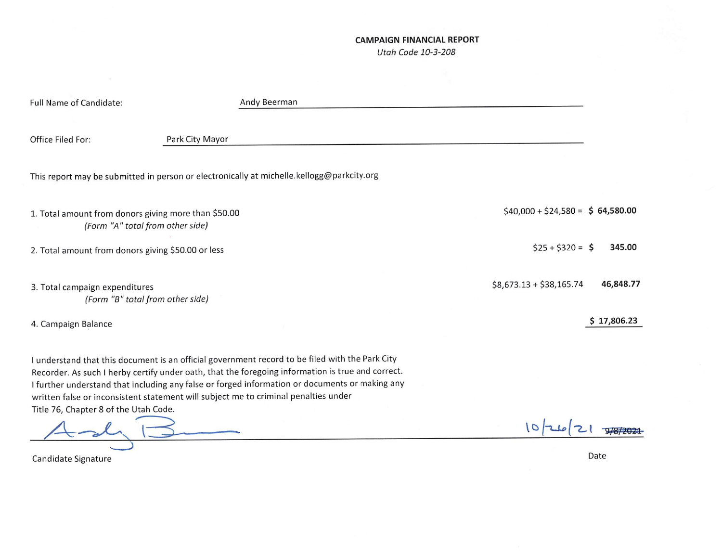## **CAMPAIGN FINANCIAL REPORT**

Utah Code 10-3-208

| Full Name of Candidate:                                                                  | Andy Beerman                                                                                                                                                                                                                                                                                                                                                                                  |                                       |
|------------------------------------------------------------------------------------------|-----------------------------------------------------------------------------------------------------------------------------------------------------------------------------------------------------------------------------------------------------------------------------------------------------------------------------------------------------------------------------------------------|---------------------------------------|
| Office Filed For:                                                                        | Park City Mayor                                                                                                                                                                                                                                                                                                                                                                               |                                       |
|                                                                                          | This report may be submitted in person or electronically at michelle.kellogg@parkcity.org                                                                                                                                                                                                                                                                                                     |                                       |
| 1. Total amount from donors giving more than \$50.00<br>(Form "A" total from other side) |                                                                                                                                                                                                                                                                                                                                                                                               | $$40,000 + $24,580 = $64,580.00$      |
| 2. Total amount from donors giving \$50.00 or less                                       |                                                                                                                                                                                                                                                                                                                                                                                               | $$25 + $320 = $$<br>345.00            |
| 3. Total campaign expenditures<br>(Form "B" total from other side)                       |                                                                                                                                                                                                                                                                                                                                                                                               | $$8,673.13 + $38,165.74$<br>46,848.77 |
| 4. Campaign Balance                                                                      |                                                                                                                                                                                                                                                                                                                                                                                               | \$17,806.23                           |
| Title 76, Chapter 8 of the Utah Code.                                                    | I understand that this document is an official government record to be filed with the Park City<br>Recorder. As such I herby certify under oath, that the foregoing information is true and correct.<br>I further understand that including any false or forged information or documents or making any<br>written false or inconsistent statement will subject me to criminal penalties under |                                       |
|                                                                                          |                                                                                                                                                                                                                                                                                                                                                                                               |                                       |

Candidate Signature

Date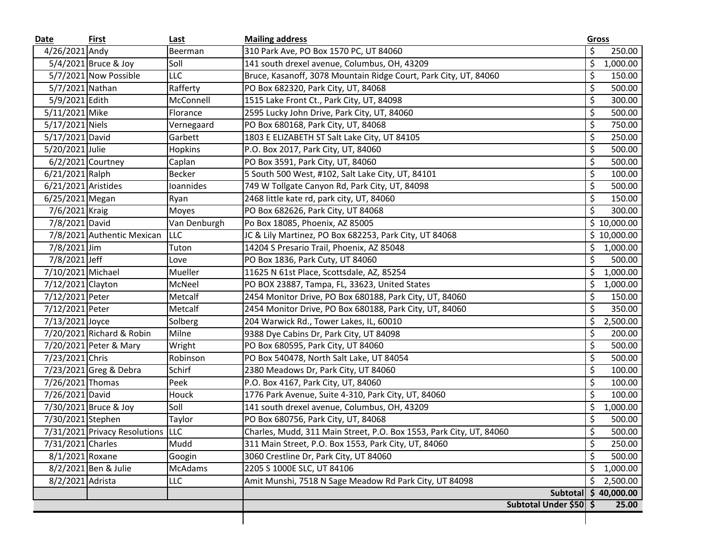| Date                | First                             | Last           | <b>Mailing address</b>                                              |                                 | Gross                |
|---------------------|-----------------------------------|----------------|---------------------------------------------------------------------|---------------------------------|----------------------|
| 4/26/2021 Andy      |                                   | Beerman        | 310 Park Ave, PO Box 1570 PC, UT 84060                              | \$                              | 250.00               |
|                     | 5/4/2021 Bruce & Joy              | Soll           | 141 south drexel avenue, Columbus, OH, 43209                        | \$                              | 1,000.00             |
|                     | 5/7/2021 Now Possible             | LLC            | Bruce, Kasanoff, 3078 Mountain Ridge Court, Park City, UT, 84060    | \$                              | 150.00               |
| 5/7/2021 Nathan     |                                   | Rafferty       | PO Box 682320, Park City, UT, 84068                                 | \$                              | 500.00               |
| 5/9/2021 Edith      |                                   | McConnell      | 1515 Lake Front Ct., Park City, UT, 84098                           | \$                              | 300.00               |
| 5/11/2021 Mike      |                                   | Florance       | 2595 Lucky John Drive, Park City, UT, 84060                         | \$                              | 500.00               |
| 5/17/2021 Niels     |                                   | Vernegaard     | PO Box 680168, Park City, UT, 84068                                 | \$                              | 750.00               |
| 5/17/2021 David     |                                   | Garbett        | 1803 E ELIZABETH ST Salt Lake City, UT 84105                        | \$                              | 250.00               |
| 5/20/2021 Julie     |                                   | <b>Hopkins</b> | P.O. Box 2017, Park City, UT, 84060                                 | \$                              | 500.00               |
|                     | 6/2/2021 Courtney                 | Caplan         | PO Box 3591, Park City, UT, 84060                                   | \$                              | 500.00               |
| 6/21/2021 Ralph     |                                   | <b>Becker</b>  | 5 South 500 West, #102, Salt Lake City, UT, 84101                   | \$                              | 100.00               |
| 6/21/2021 Aristides |                                   | Ioannides      | 749 W Tollgate Canyon Rd, Park City, UT, 84098                      | \$                              | 500.00               |
| 6/25/2021 Megan     |                                   | Ryan           | 2468 little kate rd, park city, UT, 84060                           | \$                              | 150.00               |
| 7/6/2021 Kraig      |                                   | Moyes          | PO Box 682626, Park City, UT 84068                                  | \$                              | 300.00               |
| 7/8/2021 David      |                                   | Van Denburgh   | Po Box 18085, Phoenix, AZ 85005                                     |                                 | \$10,000.00          |
|                     | 7/8/2021 Authentic Mexican        | <b>LLC</b>     | JC & Lily Martinez, PO Box 682253, Park City, UT 84068              |                                 | \$10,000.00          |
| 7/8/2021 Jim        |                                   | Tuton          | 14204 S Presario Trail, Phoenix, AZ 85048                           | \$                              | 1,000.00             |
| 7/8/2021 Jeff       |                                   | Love           | PO Box 1836, Park Cuty, UT 84060                                    | \$                              | 500.00               |
| 7/10/2021 Michael   |                                   | Mueller        | 11625 N 61st Place, Scottsdale, AZ, 85254                           | \$                              | 1,000.00             |
| 7/12/2021 Clayton   |                                   | McNeel         | PO BOX 23887, Tampa, FL, 33623, United States                       | \$                              | 1,000.00             |
| 7/12/2021 Peter     |                                   | Metcalf        | 2454 Monitor Drive, PO Box 680188, Park City, UT, 84060             | \$                              | 150.00               |
| 7/12/2021 Peter     |                                   | Metcalf        | 2454 Monitor Drive, PO Box 680188, Park City, UT, 84060             | \$                              | 350.00               |
| 7/13/2021 Joyce     |                                   | Solberg        | 204 Warwick Rd., Tower Lakes, IL, 60010                             | \$                              | 2,500.00             |
|                     | 7/20/2021 Richard & Robin         | Milne          | 9388 Dye Cabins Dr, Park City, UT 84098                             | \$                              | 200.00               |
|                     | 7/20/2021 Peter & Mary            | Wright         | PO Box 680595, Park City, UT 84060                                  | \$                              | 500.00               |
| 7/23/2021 Chris     |                                   | Robinson       | PO Box 540478, North Salt Lake, UT 84054                            | \$                              | 500.00               |
|                     | 7/23/2021 Greg & Debra            | Schirf         | 2380 Meadows Dr, Park City, UT 84060                                | \$                              | 100.00               |
| 7/26/2021 Thomas    |                                   | Peek           | P.O. Box 4167, Park City, UT, 84060                                 | \$                              | 100.00               |
| 7/26/2021 David     |                                   | Houck          | 1776 Park Avenue, Suite 4-310, Park City, UT, 84060                 | \$                              | 100.00               |
|                     | 7/30/2021 Bruce & Joy             | Soll           | 141 south drexel avenue, Columbus, OH, 43209                        | \$                              | 1,000.00             |
| 7/30/2021 Stephen   |                                   | Taylor         | PO Box 680756, Park City, UT, 84068                                 | \$                              | 500.00               |
|                     | 7/31/2021 Privacy Resolutions LLC |                | Charles, Mudd, 311 Main Street, P.O. Box 1553, Park City, UT, 84060 | \$                              | 500.00               |
| 7/31/2021 Charles   |                                   | Mudd           | 311 Main Street, P.O. Box 1553, Park City, UT, 84060                | $\overline{\boldsymbol{\zeta}}$ | 250.00               |
| 8/1/2021 Roxane     |                                   | Googin         | 3060 Crestline Dr, Park City, UT 84060                              | \$                              | 500.00               |
|                     | 8/2/2021 Ben & Julie              | <b>McAdams</b> | 2205 S 1000E SLC, UT 84106                                          | \$                              | 1,000.00             |
| 8/2/2021 Adrista    |                                   | <b>LLC</b>     | Amit Munshi, 7518 N Sage Meadow Rd Park City, UT 84098              | \$                              | 2,500.00             |
|                     |                                   |                |                                                                     |                                 | Subtotal \$40,000.00 |
|                     |                                   |                | Subtotal Under \$50 \$                                              |                                 | 25.00                |
|                     |                                   |                |                                                                     |                                 |                      |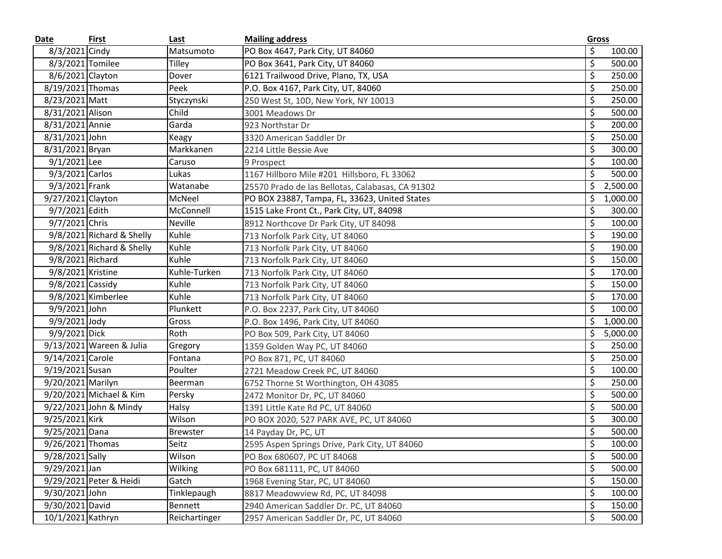| Date              | <b>First</b>              | Last            | <b>Mailing address</b>                           | <b>Gross</b>     |          |
|-------------------|---------------------------|-----------------|--------------------------------------------------|------------------|----------|
| 8/3/2021 Cindy    |                           | Matsumoto       | PO Box 4647, Park City, UT 84060                 | \$               | 100.00   |
| 8/3/2021 Tomilee  |                           | <b>Tilley</b>   | PO Box 3641, Park City, UT 84060                 | \$               | 500.00   |
| 8/6/2021 Clayton  |                           | Dover           | 6121 Trailwood Drive, Plano, TX, USA             | \$               | 250.00   |
| 8/19/2021 Thomas  |                           | Peek            | P.O. Box 4167, Park City, UT, 84060              | \$               | 250.00   |
| 8/23/2021 Matt    |                           | Styczynski      | 250 West St, 10D, New York, NY 10013             | \$               | 250.00   |
| 8/31/2021 Alison  |                           | Child           | 3001 Meadows Dr                                  | \$               | 500.00   |
| 8/31/2021 Annie   |                           | Garda           | 923 Northstar Dr                                 | \$               | 200.00   |
| 8/31/2021 John    |                           | Keagy           | 3320 American Saddler Dr                         | \$               | 250.00   |
| 8/31/2021 Bryan   |                           | Markkanen       | 2214 Little Bessie Ave                           | \$               | 300.00   |
| 9/1/2021 Lee      |                           | Caruso          | 9 Prospect                                       | \$               | 100.00   |
| 9/3/2021 Carlos   |                           | Lukas           | 1167 Hillboro Mile #201 Hillsboro, FL 33062      | \$               | 500.00   |
| 9/3/2021 Frank    |                           | Watanabe        | 25570 Prado de las Bellotas, Calabasas, CA 91302 | \$               | 2,500.00 |
| 9/27/2021 Clayton |                           | McNeel          | PO BOX 23887, Tampa, FL, 33623, United States    | \$               | 1,000.00 |
| 9/7/2021 Edith    |                           | McConnell       | 1515 Lake Front Ct., Park City, UT, 84098        | \$               | 300.00   |
| 9/7/2021 Chris    |                           | <b>Neville</b>  | 8912 Northcove Dr Park City, UT 84098            | \$               | 100.00   |
|                   | 9/8/2021 Richard & Shelly | Kuhle           | 713 Norfolk Park City, UT 84060                  | \$               | 190.00   |
|                   | 9/8/2021 Richard & Shelly | Kuhle           | 713 Norfolk Park City, UT 84060                  | \$               | 190.00   |
| 9/8/2021 Richard  |                           | Kuhle           | 713 Norfolk Park City, UT 84060                  | \$               | 150.00   |
| 9/8/2021 Kristine |                           | Kuhle-Turken    | 713 Norfolk Park City, UT 84060                  | \$               | 170.00   |
| 9/8/2021 Cassidy  |                           | Kuhle           | 713 Norfolk Park City, UT 84060                  | \$               | 150.00   |
|                   | 9/8/2021 Kimberlee        | Kuhle           | 713 Norfolk Park City, UT 84060                  | \$               | 170.00   |
| 9/9/2021 John     |                           | Plunkett        | P.O. Box 2237, Park City, UT 84060               | \$               | 100.00   |
| 9/9/2021 Jody     |                           | Gross           | P.O. Box 1496, Park City, UT 84060               | \$               | 1,000.00 |
| 9/9/2021 Dick     |                           | Roth            | PO Box 509, Park City, UT 84060                  | \$               | 5,000.00 |
|                   | 9/13/2021 Wareen & Julia  | Gregory         | 1359 Golden Way PC, UT 84060                     | \$               | 250.00   |
| 9/14/2021 Carole  |                           | Fontana         | PO Box 871, PC, UT 84060                         | \$               | 250.00   |
| 9/19/2021 Susan   |                           | Poulter         | 2721 Meadow Creek PC, UT 84060                   | \$               | 100.00   |
| 9/20/2021 Marilyn |                           | Beerman         | 6752 Thorne St Worthington, OH 43085             | \$               | 250.00   |
|                   | 9/20/2021 Michael & Kim   | Persky          | 2472 Monitor Dr, PC, UT 84060                    | \$               | 500.00   |
|                   | 9/22/2021 John & Mindy    | Halsy           | 1391 Little Kate Rd PC, UT 84060                 | \$               | 500.00   |
| 9/25/2021 Kirk    |                           | Wilson          | PO BOX 2020, 527 PARK AVE, PC, UT 84060          | \$               | 300.00   |
| 9/25/2021 Dana    |                           | <b>Brewster</b> | 14 Payday Dr, PC, UT                             | \$               | 500.00   |
| 9/26/2021 Thomas  |                           | Seitz           | 2595 Aspen Springs Drive, Park City, UT 84060    | $\overline{\xi}$ | 100.00   |
| 9/28/2021 Sally   |                           | Wilson          | PO Box 680607, PC UT 84068                       | \$               | 500.00   |
| 9/29/2021 Jan     |                           | Wilking         | PO Box 681111, PC, UT 84060                      | \$               | 500.00   |
|                   | 9/29/2021 Peter & Heidi   | Gatch           | 1968 Evening Star, PC, UT 84060                  | \$               | 150.00   |
| 9/30/2021 John    |                           | Tinklepaugh     | 8817 Meadowview Rd, PC, UT 84098                 | \$               | 100.00   |
| 9/30/2021 David   |                           | Bennett         | 2940 American Saddler Dr. PC, UT 84060           | \$               | 150.00   |
| 10/1/2021 Kathryn |                           | Reichartinger   | 2957 American Saddler Dr, PC, UT 84060           | \$               | 500.00   |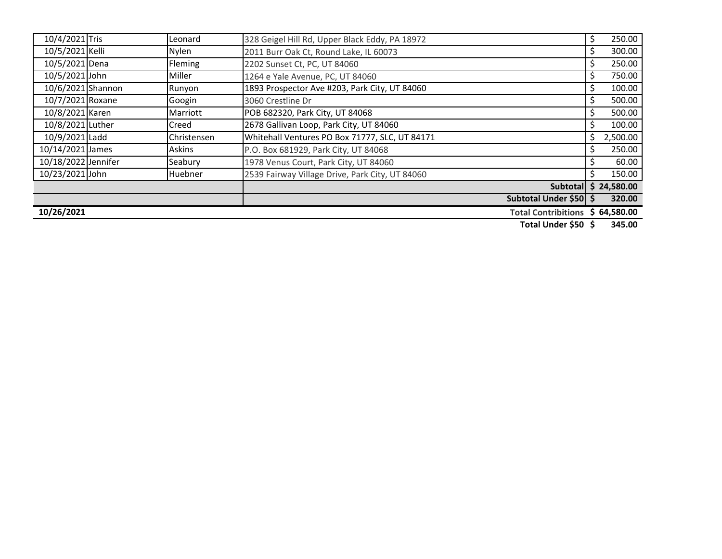| 10/4/2021 Tris                           |  | Leonard       | 328 Geigel Hill Rd, Upper Black Eddy, PA 18972  | \$ | 250.00      |
|------------------------------------------|--|---------------|-------------------------------------------------|----|-------------|
| 10/5/2021 Kelli                          |  | Nylen         | 2011 Burr Oak Ct, Round Lake, IL 60073          |    | 300.00      |
| 10/5/2021 Dena                           |  | Fleming       | 2202 Sunset Ct, PC, UT 84060                    |    | 250.00      |
| 10/5/2021 John                           |  | Miller        | 1264 e Yale Avenue, PC, UT 84060                |    | 750.00      |
| 10/6/2021 Shannon                        |  | Runyon        | 1893 Prospector Ave #203, Park City, UT 84060   |    | 100.00      |
| 10/7/2021 Roxane                         |  | Googin        | 3060 Crestline Dr                               |    | 500.00      |
| 10/8/2021 Karen                          |  | Marriott      | POB 682320, Park City, UT 84068                 |    | 500.00      |
| 10/8/2021 Luther                         |  | Creed         | 2678 Gallivan Loop, Park City, UT 84060         |    | 100.00      |
| 10/9/2021 Ladd                           |  | Christensen   | Whitehall Ventures PO Box 71777, SLC, UT 84171  | S  | 2,500.00    |
| 10/14/2021 James                         |  | <b>Askins</b> | P.O. Box 681929, Park City, UT 84068            |    | 250.00      |
| 10/18/2022 Jennifer                      |  | Seabury       | 1978 Venus Court, Park City, UT 84060           |    | 60.00       |
| 10/23/2021 John                          |  | Huebner       | 2539 Fairway Village Drive, Park City, UT 84060 |    | 150.00      |
|                                          |  |               | <b>Subtotall</b>                                |    | \$24,580.00 |
|                                          |  |               | Subtotal Under \$50 \$                          |    | 320.00      |
| 10/26/2021<br><b>Total Contribitions</b> |  |               |                                                 |    | \$64,580.00 |

**Total Under \$50 \$ 345.00**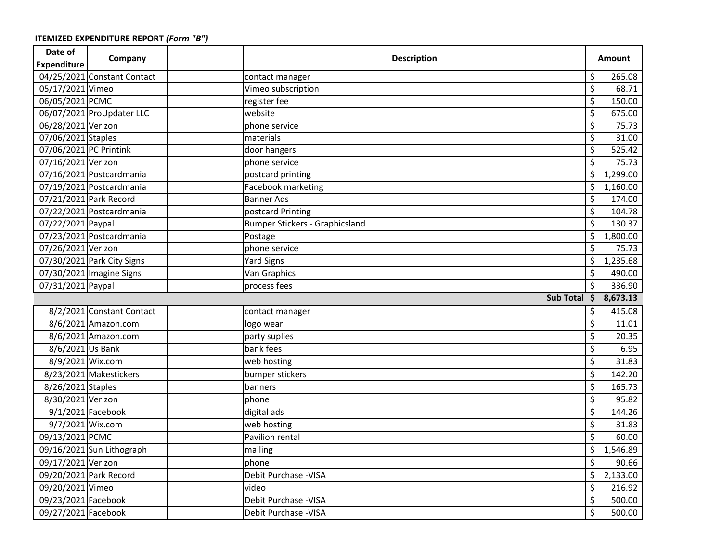| Date of                | Company                     | <b>Description</b> |                                       | <b>Amount</b>            |          |
|------------------------|-----------------------------|--------------------|---------------------------------------|--------------------------|----------|
| <b>Expenditure</b>     |                             |                    |                                       |                          |          |
|                        | 04/25/2021 Constant Contact |                    | contact manager                       | \$                       | 265.08   |
| 05/17/2021 Vimeo       |                             |                    | Vimeo subscription                    | \$                       | 68.71    |
| 06/05/2021 PCMC        |                             |                    | register fee                          | \$                       | 150.00   |
|                        | 06/07/2021 ProUpdater LLC   |                    | website                               | \$                       | 675.00   |
| 06/28/2021 Verizon     |                             |                    | phone service                         | $\overline{\mathcal{S}}$ | 75.73    |
| 07/06/2021 Staples     |                             |                    | materials                             | \$                       | 31.00    |
| 07/06/2021 PC Printink |                             |                    | door hangers                          | \$                       | 525.42   |
| 07/16/2021 Verizon     |                             |                    | phone service                         | \$                       | 75.73    |
|                        | 07/16/2021 Postcardmania    |                    | postcard printing                     | \$                       | 1,299.00 |
|                        | 07/19/2021 Postcardmania    |                    | <b>Facebook marketing</b>             | \$                       | 1,160.00 |
| 07/21/2021 Park Record |                             |                    | <b>Banner Ads</b>                     | \$                       | 174.00   |
|                        | 07/22/2021 Postcardmania    |                    | postcard Printing                     | \$                       | 104.78   |
| 07/22/2021 Paypal      |                             |                    | <b>Bumper Stickers - Graphicsland</b> | \$                       | 130.37   |
|                        | 07/23/2021 Postcardmania    |                    | Postage                               | \$                       | 1,800.00 |
| 07/26/2021 Verizon     |                             |                    | phone service                         | \$                       | 75.73    |
|                        | 07/30/2021 Park City Signs  |                    | <b>Yard Signs</b>                     | $\overline{\mathcal{S}}$ | 1,235.68 |
|                        | 07/30/2021 Imagine Signs    |                    | Van Graphics                          | \$                       | 490.00   |
| 07/31/2021 Paypal      |                             |                    | process fees                          | \$                       | 336.90   |
| Sub Total \$ 8,673.13  |                             |                    |                                       |                          |          |
|                        | 8/2/2021 Constant Contact   |                    | contact manager                       | \$                       | 415.08   |
|                        | 8/6/2021 Amazon.com         |                    | logo wear                             | \$                       | 11.01    |
|                        | 8/6/2021 Amazon.com         |                    | party suplies                         | \$                       | 20.35    |
| 8/6/2021 Us Bank       |                             |                    | bank fees                             | \$                       | 6.95     |
| 8/9/2021 Wix.com       |                             |                    | web hosting                           | \$                       | 31.83    |
|                        | 8/23/2021 Makestickers      |                    | bumper stickers                       | \$                       | 142.20   |
| 8/26/2021 Staples      |                             |                    | banners                               | \$                       | 165.73   |
| 8/30/2021 Verizon      |                             |                    | phone                                 | \$                       | 95.82    |
| 9/1/2021 Facebook      |                             |                    | digital ads                           | \$                       | 144.26   |
| 9/7/2021 Wix.com       |                             |                    | web hosting                           | \$                       | 31.83    |
| 09/13/2021 PCMC        |                             |                    | Pavilion rental                       | \$                       | 60.00    |
|                        | 09/16/2021 Sun Lithograph   |                    | mailing                               | \$                       | 1,546.89 |
| 09/17/2021 Verizon     |                             |                    | phone                                 | \$                       | 90.66    |
| 09/20/2021 Park Record |                             |                    | Debit Purchase - VISA                 | \$                       | 2,133.00 |
| 09/20/2021 Vimeo       |                             |                    | video                                 | \$                       | 216.92   |
| 09/23/2021 Facebook    |                             |                    | Debit Purchase - VISA                 | \$                       | 500.00   |
| 09/27/2021 Facebook    |                             |                    | Debit Purchase - VISA                 | $\overline{\mathsf{S}}$  | 500.00   |